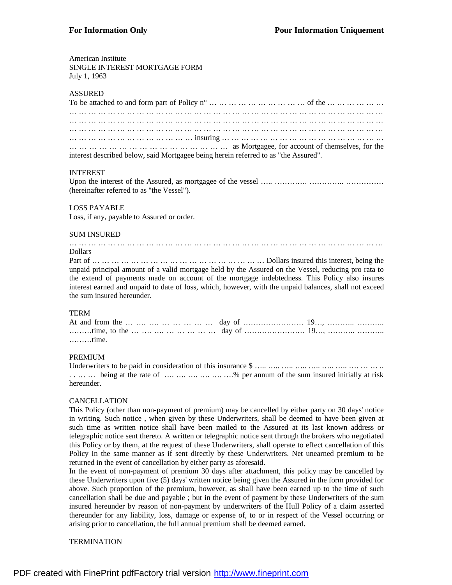#### American Institute

SINGLE INTEREST MORTGAGE FORM July 1, 1963

#### ASSURED

| interest described below, said Mortgagee being herein referred to as "the Assured". |  |  |  |  |  |  |  |  |  |  |  |  |  |  |  |  |  |  |  |  |  |  |
|-------------------------------------------------------------------------------------|--|--|--|--|--|--|--|--|--|--|--|--|--|--|--|--|--|--|--|--|--|--|

#### INTEREST

Upon the interest of the Assured, as mortgagee of the vessel ….. …………. ………………………… (hereinafter referred to as "the Vessel").

#### LOSS PAYABLE

Loss, if any, payable to Assured or order.

#### SUM INSURED

#### … … … … … … … … … … … … … … … … … … … … … … … … … … … … … … … … … Dollars

Part of … … … … … … … … … … … … … … … … … Dollars insured this interest, being the unpaid principal amount of a valid mortgage held by the Assured on the Vessel, reducing pro rata to the extend of payments made on account of the mortgage indebtedness. This Policy also insures interest earned and unpaid to date of loss, which, however, with the unpaid balances, shall not exceed the sum insured hereunder.

#### TERM

| $\ldots \ldots \ldots$ time. |  |
|------------------------------|--|

#### PREMIUM

| hereunder. |  |  |  |  |  |  |  |  |  |  |  |
|------------|--|--|--|--|--|--|--|--|--|--|--|

#### CANCELLATION

This Policy (other than non-payment of premium) may be cancelled by either party on 30 days' notice in writing. Such notice , when given by these Underwriters, shall be deemed to have been given at such time as written notice shall have been mailed to the Assured at its last known address or telegraphic notice sent thereto. A written or telegraphic notice sent through the brokers who negotiated this Policy or by them, at the request of these Underwriters, shall operate to effect cancellation of this Policy in the same manner as if sent directly by these Underwriters. Net unearned premium to be returned in the event of cancellation by either party as aforesaid.

In the event of non-payment of premium 30 days after attachment, this policy may be cancelled by these Underwriters upon five (5) days' written notice being given the Assured in the form provided for above. Such proportion of the premium, however, as shall have been earned up to the time of such cancellation shall be due and payable ; but in the event of payment by these Underwriters of the sum insured hereunder by reason of non-payment by underwriters of the Hull Policy of a claim asserted thereunder for any liability, loss, damage or expense of, to or in respect of the Vessel occurring or arising prior to cancellation, the full annual premium shall be deemed earned.

#### **TERMINATION**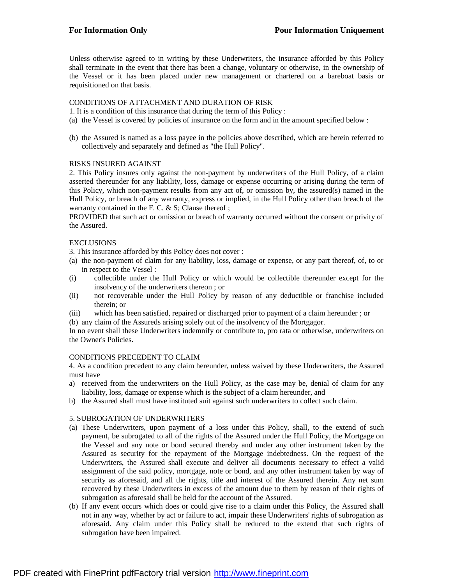Unless otherwise agreed to in writing by these Underwriters, the insurance afforded by this Policy shall terminate in the event that there has been a change, voluntary or otherwise, in the ownership of the Vessel or it has been placed under new management or chartered on a bareboat basis or requisitioned on that basis.

# CONDITIONS OF ATTACHMENT AND DURATION OF RISK

- 1. It is a condition of this insurance that during the term of this Policy :
- (a) the Vessel is covered by policies of insurance on the form and in the amount specified below :
- (b) the Assured is named as a loss payee in the policies above described, which are herein referred to collectively and separately and defined as "the Hull Policy".

#### RISKS INSURED AGAINST

2. This Policy insures only against the non-payment by underwriters of the Hull Policy, of a claim asserted thereunder for any liability, loss, damage or expense occurring or arising during the term of this Policy, which non-payment results from any act of, or omission by, the assured(s) named in the Hull Policy, or breach of any warranty, express or implied, in the Hull Policy other than breach of the warranty contained in the F. C. & S; Clause thereof;

PROVIDED that such act or omission or breach of warranty occurred without the consent or privity of the Assured.

## **EXCLUSIONS**

3. This insurance afforded by this Policy does not cover :

- (a) the non-payment of claim for any liability, loss, damage or expense, or any part thereof, of, to or in respect to the Vessel :
- (i) collectible under the Hull Policy or which would be collectible thereunder except for the insolvency of the underwriters thereon ; or
- (ii) not recoverable under the Hull Policy by reason of any deductible or franchise included therein; or
- (iii) which has been satisfied, repaired or discharged prior to payment of a claim hereunder ; or
- (b) any claim of the Assureds arising solely out of the insolvency of the Mortgagor.

In no event shall these Underwriters indemnify or contribute to, pro rata or otherwise, underwriters on the Owner's Policies.

#### CONDITIONS PRECEDENT TO CLAIM

4. As a condition precedent to any claim hereunder, unless waived by these Underwriters, the Assured must have

- a) received from the underwriters on the Hull Policy, as the case may be, denial of claim for any liability, loss, damage or expense which is the subject of a claim hereunder, and
- b) the Assured shall must have instituted suit against such underwriters to collect such claim.

# 5. SUBROGATION OF UNDERWRITERS

- (a) These Underwriters, upon payment of a loss under this Policy, shall, to the extend of such payment, be subrogated to all of the rights of the Assured under the Hull Policy, the Mortgage on the Vessel and any note or bond secured thereby and under any other instrument taken by the Assured as security for the repayment of the Mortgage indebtedness. On the request of the Underwriters, the Assured shall execute and deliver all documents necessary to effect a valid assignment of the said policy, mortgage, note or bond, and any other instrument taken by way of security as aforesaid, and all the rights, title and interest of the Assured therein. Any net sum recovered by these Underwriters in excess of the amount due to them by reason of their rights of subrogation as aforesaid shall be held for the account of the Assured.
- (b) If any event occurs which does or could give rise to a claim under this Policy, the Assured shall not in any way, whether by act or failure to act, impair these Underwriters' rights of subrogation as aforesaid. Any claim under this Policy shall be reduced to the extend that such rights of subrogation have been impaired.